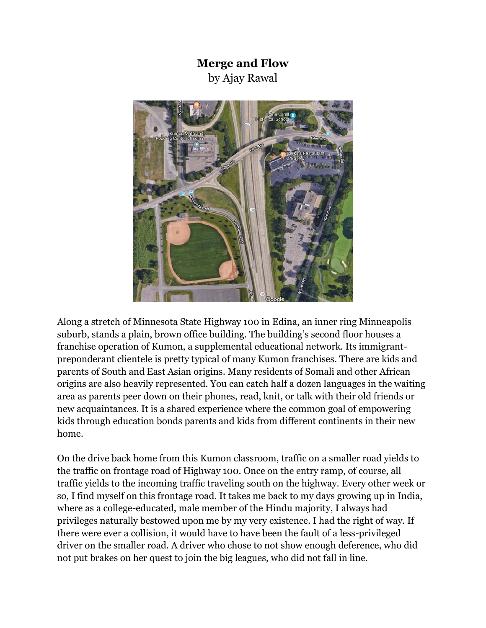## **Merge and Flow**  by Ajay Rawal



Along a stretch of Minnesota State Highway 100 in Edina, an inner ring Minneapolis suburb, stands a plain, brown office building. The building's second floor houses a franchise operation of Kumon, a supplemental educational network. Its immigrantpreponderant clientele is pretty typical of many Kumon franchises. There are kids and parents of South and East Asian origins. Many residents of Somali and other African origins are also heavily represented. You can catch half a dozen languages in the waiting area as parents peer down on their phones, read, knit, or talk with their old friends or new acquaintances. It is a shared experience where the common goal of empowering kids through education bonds parents and kids from different continents in their new home.

On the drive back home from this Kumon classroom, traffic on a smaller road yields to the traffic on frontage road of Highway 100. Once on the entry ramp, of course, all traffic yields to the incoming traffic traveling south on the highway. Every other week or so, I find myself on this frontage road. It takes me back to my days growing up in India, where as a college-educated, male member of the Hindu majority, I always had privileges naturally bestowed upon me by my very existence. I had the right of way. If there were ever a collision, it would have to have been the fault of a less-privileged driver on the smaller road. A driver who chose to not show enough deference, who did not put brakes on her quest to join the big leagues, who did not fall in line.